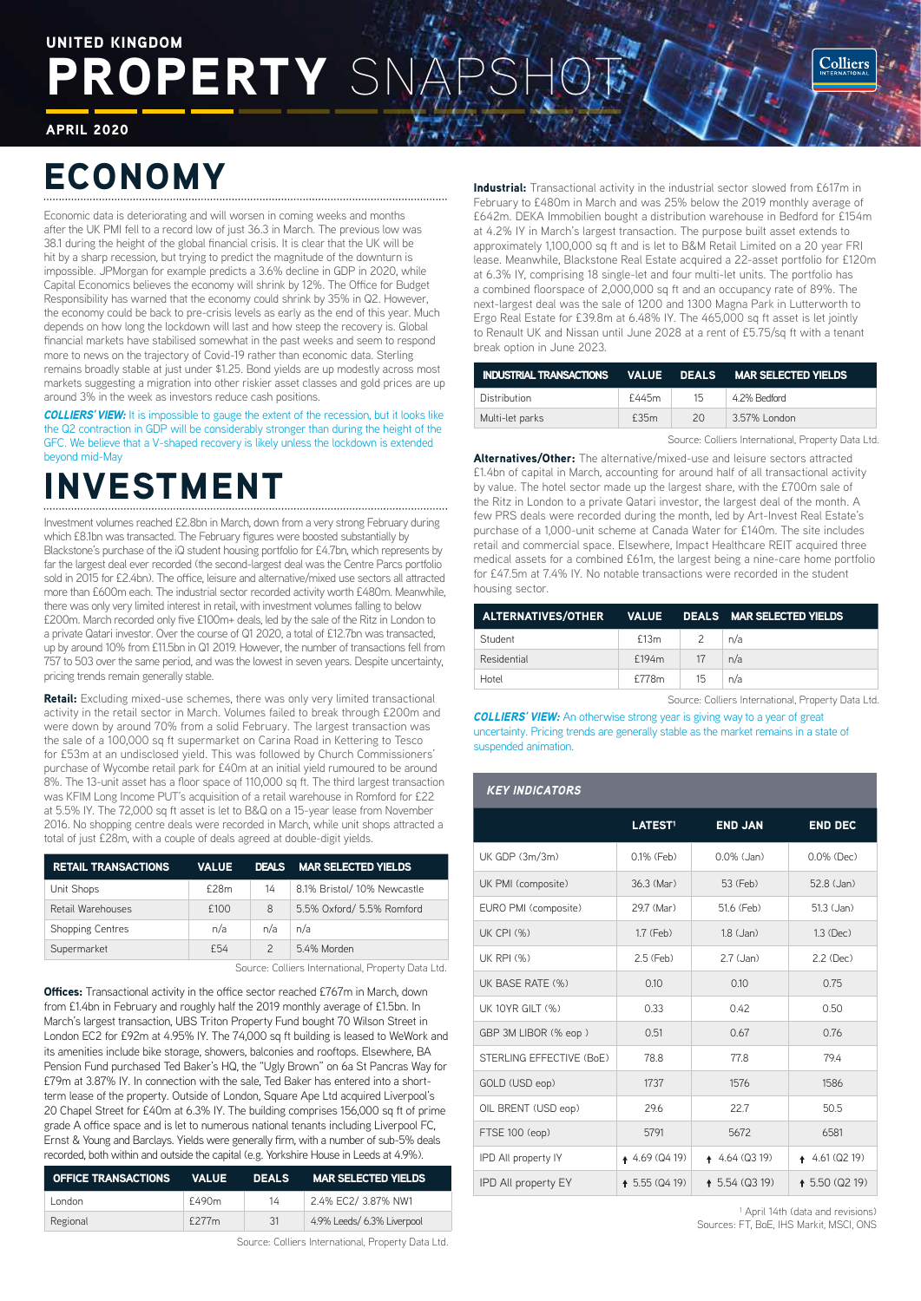### ROPERTY SN UNITED KINGDOM

APRIL 2020

# ECONOMY

Economic data is deteriorating and will worsen in coming weeks and months after the UK PMI fell to a record low of just 36.3 in March. The previous low was 38.1 during the height of the global financial crisis. It is clear that the UK will be hit by a sharp recession, but trying to predict the magnitude of the downturn is impossible. JPMorgan for example predicts a 3.6% decline in GDP in 2020, while Capital Economics believes the economy will shrink by 12%. The Office for Budget Responsibility has warned that the economy could shrink by 35% in Q2. However, the economy could be back to pre-crisis levels as early as the end of this year. Much depends on how long the lockdown will last and how steep the recovery is. Global financial markets have stabilised somewhat in the past weeks and seem to respond more to news on the trajectory of Covid-19 rather than economic data. Sterling remains broadly stable at just under \$1.25. Bond yields are up modestly across most markets suggesting a migration into other riskier asset classes and gold prices are up around 3% in the week as investors reduce cash positions.

*COLLIERS' VIEW:* It is impossible to gauge the extent of the recession, but it looks like the Q2 contraction in GDP will be considerably stronger than during the height of the GFC. We believe that a V-shaped recovery is likely unless the lockdown is extended beyond mid-May

# INVESTMENT

Investment volumes reached £2.8bn in March, down from a very strong February during which £8.1bn was transacted. The February figures were boosted substantially by Blackstone's purchase of the iQ student housing portfolio for £4.7bn, which represents by far the largest deal ever recorded (the second-largest deal was the Centre Parcs portfolio sold in 2015 for £2.4bn). The office, leisure and alternative/mixed use sectors all attracted more than £600m each. The industrial sector recorded activity worth £480m. Meanwhile, there was only very limited interest in retail, with investment volumes falling to below £200m. March recorded only five £100m+ deals, led by the sale of the Ritz in London to a private Qatari investor. Over the course of Q1 2020, a total of £12.7bn was transacted, up by around 10% from £11.5bn in Q1 2019. However, the number of transactions fell from 757 to 503 over the same period, and was the lowest in seven years. Despite uncertainty, pricing trends remain generally stable.

**Retail:** Excluding mixed-use schemes, there was only very limited transactional activity in the retail sector in March. Volumes failed to break through £200m and were down by around 70% from a solid February. The largest transaction was the sale of a 100,000 sq ft supermarket on Carina Road in Kettering to Tesco for £53m at an undisclosed yield. This was followed by Church Commissioners' purchase of Wycombe retail park for £40m at an initial yield rumoured to be around 8%. The 13-unit asset has a floor space of 110,000 sq ft. The third largest transaction was KFIM Long Income PUT's acquisition of a retail warehouse in Romford for £22 at 5.5% IY. The 72,000 sq ft asset is let to B&Q on a 15-year lease from November 2016. No shopping centre deals were recorded in March, while unit shops attracted a total of just £28m, with a couple of deals agreed at double-digit yields.

| <b>RETAIL TRANSACTIONS</b> | <b>VALUE</b> | <b>DEALS</b>  | <b>MAR SELECTED YIELDS</b>  |
|----------------------------|--------------|---------------|-----------------------------|
| Unit Shops                 | £28m         | 14            | 8.1% Bristol/ 10% Newcastle |
| Retail Warehouses          | £100         | 8             | 5.5% Oxford/ 5.5% Romford   |
| <b>Shopping Centres</b>    | n/a          | n/a           | n/a                         |
| Supermarket                | £54          | $\mathcal{P}$ | 5.4% Morden                 |
|                            |              |               |                             |

Source: Colliers International, Property Data Ltd.

**Offices:** Transactional activity in the office sector reached £767m in March, down from £1.4bn in February and roughly half the 2019 monthly average of £1.5bn. In March's largest transaction, UBS Triton Property Fund bought 70 Wilson Street in London EC2 for £92m at 4.95% IY. The 74,000 sq ft building is leased to WeWork and its amenities include bike storage, showers, balconies and rooftops. Elsewhere, BA Pension Fund purchased Ted Baker's HQ, the "Ugly Brown" on 6a St Pancras Way for £79m at 3.87% IY. In connection with the sale, Ted Baker has entered into a shortterm lease of the property. Outside of London, Square Ape Ltd acquired Liverpool's 20 Chapel Street for £40m at 6.3% IY. The building comprises 156,000 sq ft of prime grade A office space and is let to numerous national tenants including Liverpool FC, Ernst & Young and Barclays. Yields were generally firm, with a number of sub-5% deals recorded, both within and outside the capital (e.g. Yorkshire House in Leeds at 4.9%).

| <b>OFFICE TRANSACTIONS</b> | VALUE | <b>DEALS</b> | <b>MAR SELECTED YIELDS</b> |
|----------------------------|-------|--------------|----------------------------|
| London                     | £490m | 14           | 2.4% EC2/ 3.87% NW1        |
| Regional                   | £277m | 31           | 4.9% Leeds/ 6.3% Liverpool |

Source: Colliers International, Property Data Ltd.

**Industrial:** Transactional activity in the industrial sector slowed from £617m in February to £480m in March and was 25% below the 2019 monthly average of £642m. DEKA Immobilien bought a distribution warehouse in Bedford for £154m at 4.2% IY in March's largest transaction. The purpose built asset extends to approximately 1,100,000 sq ft and is let to B&M Retail Limited on a 20 year FRI lease. Meanwhile, Blackstone Real Estate acquired a 22-asset portfolio for £120m at 6.3% IY, comprising 18 single-let and four multi-let units. The portfolio has a combined floorspace of 2,000,000 sq ft and an occupancy rate of 89%. The next-largest deal was the sale of 1200 and 1300 Magna Park in Lutterworth to Ergo Real Estate for £39.8m at 6.48% IY. The 465,000 sq ft asset is let jointly to Renault UK and Nissan until June 2028 at a rent of £5.75/sq ft with a tenant break option in June 2023.

| INDUSTRIAL TRANSACTIONS VALUE DEALS MAR SELECTED VIELDS |       |    |              |
|---------------------------------------------------------|-------|----|--------------|
| Distribution                                            | £445m | 15 | 4.2% Bedford |
| Multi-let parks                                         | £35m  | 20 | 3.57% London |

Source: Colliers International, Property Data Ltd.

Alternatives/Other: The alternative/mixed-use and leisure sectors attracted £1.4bn of capital in March, accounting for around half of all transactional activity by value. The hotel sector made up the largest share, with the £700m sale of the Ritz in London to a private Qatari investor, the largest deal of the month. A few PRS deals were recorded during the month, led by Art-Invest Real Estate's purchase of a 1,000-unit scheme at Canada Water for £140m. The site includes retail and commercial space. Elsewhere, Impact Healthcare REIT acquired three medical assets for a combined £61m, the largest being a nine-care home portfolio for £47.5m at 7.4% IY. No notable transactions were recorded in the student housing sector.

| ALTERNATIVES/OTHER VALUE DEALS MAR SELECTED YIELDS |       |                        |     |
|----------------------------------------------------|-------|------------------------|-----|
| Student                                            | £13m  | $\sim$ 2 $\rightarrow$ | n/a |
| Residential                                        | £194m | $\sqrt{17}$            | n/a |
| Hotel                                              | £778m | 15                     | n/a |

Source: Colliers International, Property Data Ltd.

**COLLIERS' VIEW:** An otherwise strong year is giving way to a year of great uncertainty. Pricing trends are generally stable as the market remains in a state of suspended animation.

### *KEY INDICATORS* LATEST<sup>1</sup> END JAN END DEC UK GDP  $(3m/3m)$  0.1% (Feb) 0.0% (Jan) 0.0% (Dec) UK PMI (composite) 36.3 (Mar) 53 (Feb) 52.8 (Jan) EURO PMI (composite) 29.7 (Mar) 51.6 (Feb) 51.3 (Jan) UK CPI (%) 1.7 (Feb) 1.8 (Jan) 1.3 (Dec) UK RPI (%) 2.5 (Feb) 2.7 (Jan) 2.2 (Dec) UK BASE RATE (%) 0.10 0.10 0.10 0.75 UK 10YR GILT (%)  $0.33$  0.42 0.50 GBP 3M LIBOR (% eop ) 0.51 0.67 0.67 0.76 STERLING EFFECTIVE (BoE) 78.8 77.8 79.4 GOLD (USD eop) 1737 1576 1586 OIL BRENT (USD eop) 29.6 22.7 50.5 FTSE 100 (eop) 5791 5672 6581 IPD All property IY ↑ 4.69 (Q4 19) ↑ 4.64 (Q3 19) ↑ 4.61 (Q2 19) IPD All property EY ↑ 5.55 (Q4 19) ↑ 5.54 (Q3 19) ↑ 5.50 (Q2 19)

<sup>1</sup> April 14th (data and revisions) Sources: FT, BoE, IHS Markit, MSCI, ONS